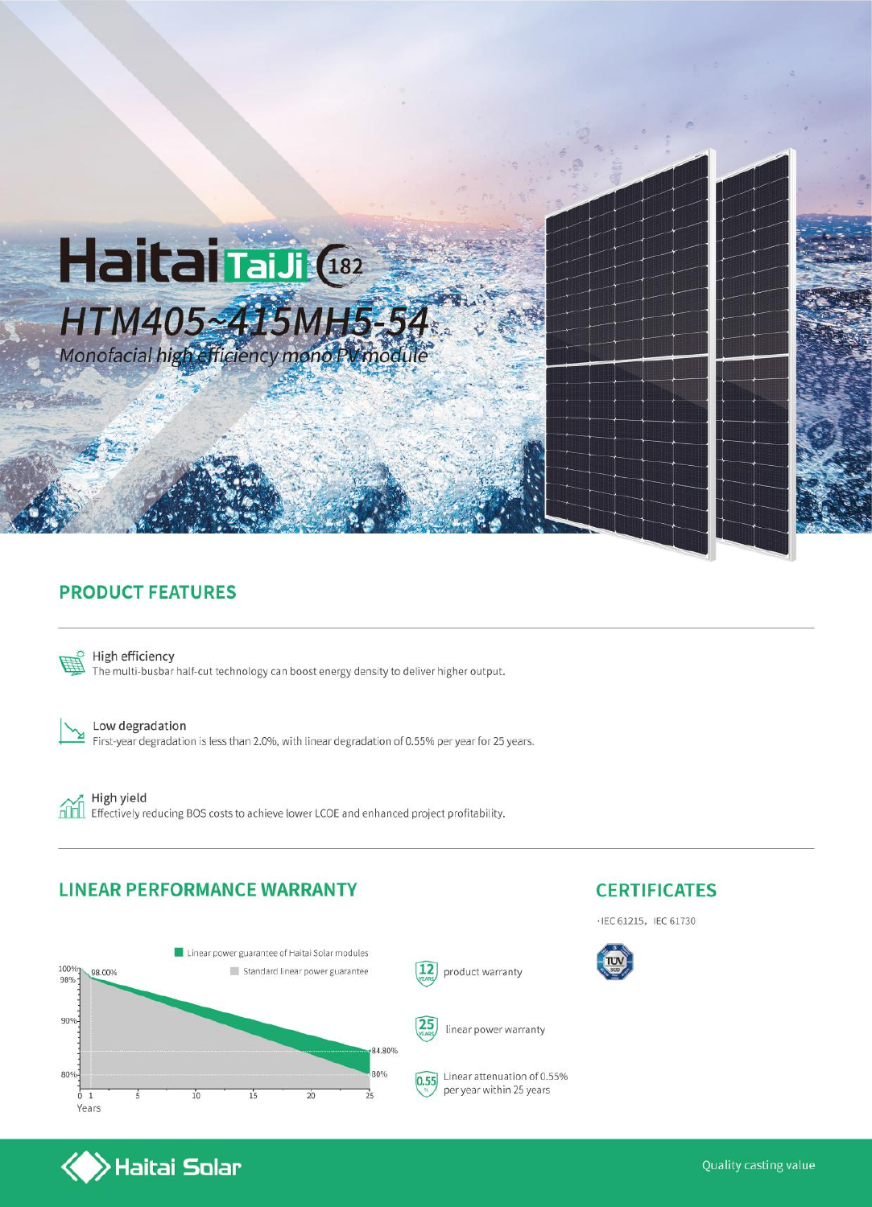

### **PRODUCT FEATURES**



High efficiency The multi-busbar half-cut technology can boost energy density to deliver higher output.



Low degradation First-year degradation is less than 2.0%, with linear degradation of 0.55% per year for 25 years.



High yield Effectively reducing BOS costs to achieve lower LCOE and enhanced project profitability.

#### **LINEAR PERFORMANCE WARRANTY**

 $\blacktriangleright$ Haitai Solar





 $\cdot$  IEC 61215, IEC 61730